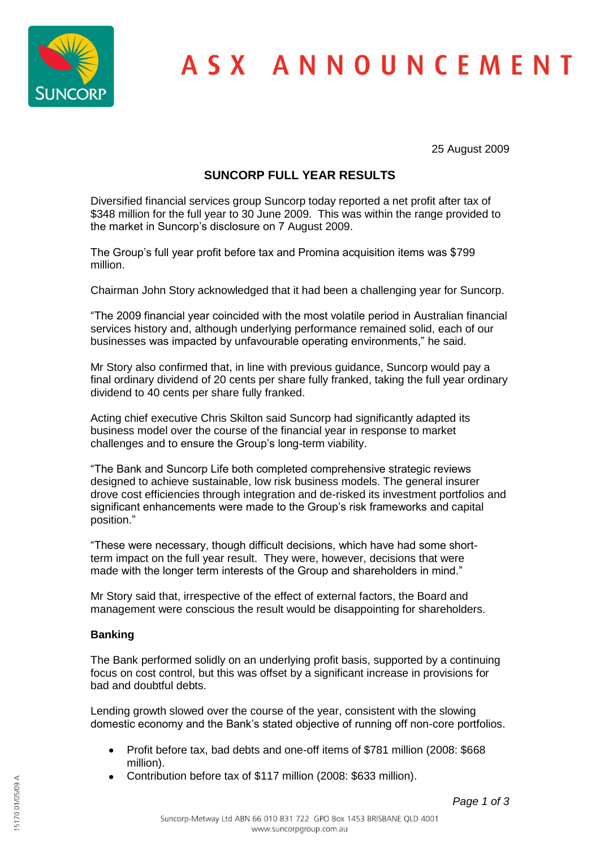

## ASX ANNOUNCEMENT

25 August 2009

### **SUNCORP FULL YEAR RESULTS**

Diversified financial services group Suncorp today reported a net profit after tax of \$348 million for the full year to 30 June 2009. This was within the range provided to the market in Suncorp's disclosure on 7 August 2009.

The Group's full year profit before tax and Promina acquisition items was \$799 million.

Chairman John Story acknowledged that it had been a challenging year for Suncorp.

"The 2009 financial year coincided with the most volatile period in Australian financial services history and, although underlying performance remained solid, each of our businesses was impacted by unfavourable operating environments," he said.

Mr Story also confirmed that, in line with previous guidance, Suncorp would pay a final ordinary dividend of 20 cents per share fully franked, taking the full year ordinary dividend to 40 cents per share fully franked.

Acting chief executive Chris Skilton said Suncorp had significantly adapted its business model over the course of the financial year in response to market challenges and to ensure the Group's long-term viability.

"The Bank and Suncorp Life both completed comprehensive strategic reviews designed to achieve sustainable, low risk business models. The general insurer drove cost efficiencies through integration and de-risked its investment portfolios and significant enhancements were made to the Group's risk frameworks and capital position."

"These were necessary, though difficult decisions, which have had some shortterm impact on the full year result. They were, however, decisions that were made with the longer term interests of the Group and shareholders in mind."

Mr Story said that, irrespective of the effect of external factors, the Board and management were conscious the result would be disappointing for shareholders.

### **Banking**

The Bank performed solidly on an underlying profit basis, supported by a continuing focus on cost control, but this was offset by a significant increase in provisions for bad and doubtful debts.

Lending growth slowed over the course of the year, consistent with the slowing domestic economy and the Bank's stated objective of running off non-core portfolios.

- Profit before tax, bad debts and one-off items of \$781 million (2008: \$668  $\bullet$ million).
- Contribution before tax of \$117 million (2008: \$633 million).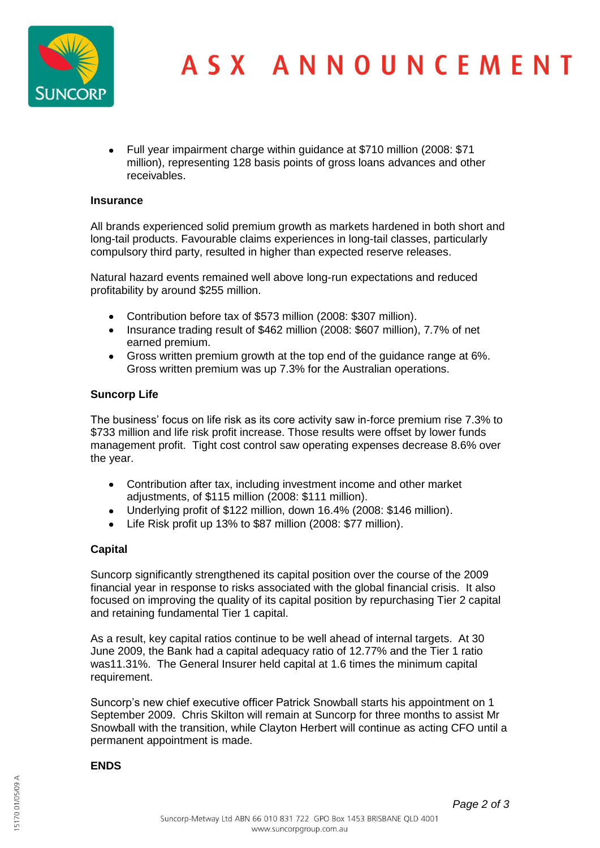

Full year impairment charge within guidance at \$710 million (2008: \$71 million), representing 128 basis points of gross loans advances and other receivables.

### **Insurance**

All brands experienced solid premium growth as markets hardened in both short and long-tail products. Favourable claims experiences in long-tail classes, particularly compulsory third party, resulted in higher than expected reserve releases.

Natural hazard events remained well above long-run expectations and reduced profitability by around \$255 million.

- Contribution before tax of \$573 million (2008: \$307 million).  $\bullet$
- Insurance trading result of \$462 million (2008: \$607 million), 7.7% of net earned premium.
- Gross written premium growth at the top end of the guidance range at 6%. Gross written premium was up 7.3% for the Australian operations.

### **Suncorp Life**

The business' focus on life risk as its core activity saw in-force premium rise 7.3% to \$733 million and life risk profit increase. Those results were offset by lower funds management profit. Tight cost control saw operating expenses decrease 8.6% over the year.

- Contribution after tax, including investment income and other market adjustments, of \$115 million (2008: \$111 million).
- Underlying profit of \$122 million, down 16.4% (2008: \$146 million).
- $\bullet$ Life Risk profit up 13% to \$87 million (2008: \$77 million).

### **Capital**

Suncorp significantly strengthened its capital position over the course of the 2009 financial year in response to risks associated with the global financial crisis. It also focused on improving the quality of its capital position by repurchasing Tier 2 capital and retaining fundamental Tier 1 capital.

As a result, key capital ratios continue to be well ahead of internal targets. At 30 June 2009, the Bank had a capital adequacy ratio of 12.77% and the Tier 1 ratio was11.31%. The General Insurer held capital at 1.6 times the minimum capital requirement.

Suncorp's new chief executive officer Patrick Snowball starts his appointment on 1 September 2009. Chris Skilton will remain at Suncorp for three months to assist Mr Snowball with the transition, while Clayton Herbert will continue as acting CFO until a permanent appointment is made.

### **ENDS**